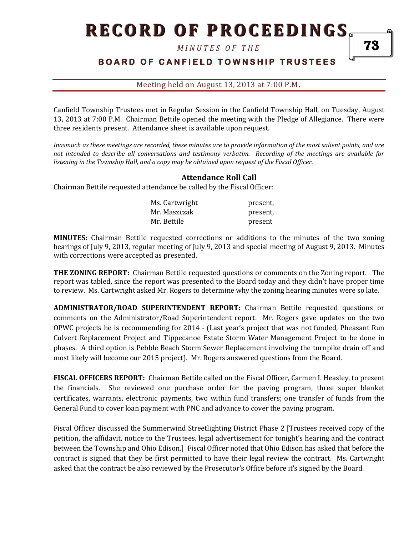*M I N U T E S O F T H E* 

### **BOARD OF CANFIELD TOWNSHIP TRUSTEES**

Meeting held on August 13, 2013 at 7:00 P.M**.**

Canfield Township Trustees met in Regular Session in the Canfield Township Hall, on Tuesday, August 13, 2013 at 7:00 P.M. Chairman Bettile opened the meeting with the Pledge of Allegiance. There were three residents present. Attendance sheet is available upon request.

*Inasmuch as these meetings are recorded, these minutes are to provide information of the most salient points, and are not intended to describe all conversations and testimony verbatim. Recording of the meetings are available for listening in the Township Hall, and a copy may be obtained upon request of the Fiscal Officer.* 

#### **Attendance Roll Call**

Chairman Bettile requested attendance be called by the Fiscal Officer:

| Ms. Cartwright | present. |
|----------------|----------|
| Mr. Maszczak   | present, |
| Mr. Bettile    | present  |

**MINUTES:** Chairman Bettile requested corrections or additions to the minutes of the two zoning hearings of July 9, 2013, regular meeting of July 9, 2013 and special meeting of August 9, 2013. Minutes with corrections were accepted as presented.

**THE ZONING REPORT:** Chairman Bettile requested questions or comments on the Zoning report. The report was tabled, since the report was presented to the Board today and they didn't have proper time to review. Ms. Cartwright asked Mr. Rogers to determine why the zoning hearing minutes were so late.

**ADMINISTRATOR/ROAD SUPERINTENDENT REPORT:** Chairman Bettile requested questions or comments on the Administrator/Road Superintendent report. Mr. Rogers gave updates on the two OPWC projects he is recommending for 2014 - (Last year's project that was not funded, Pheasant Run Culvert Replacement Project and Tippecanoe Estate Storm Water Management Project to be done in phases. A third option is Pebble Beach Storm Sewer Replacement involving the turnpike drain off and most likely will become our 2015 project). Mr. Rogers answered questions from the Board.

**FISCAL OFFICERS REPORT:** Chairman Bettile called on the Fiscal Officer, Carmen I. Heasley, to present the financials. She reviewed one purchase order for the paving program, three super blanket certificates, warrants, electronic payments, two within fund transfers; one transfer of funds from the General Fund to cover loan payment with PNC and advance to cover the paving program.

Fiscal Officer discussed the Summerwind Streetlighting District Phase 2 [Trustees received copy of the petition, the affidavit, notice to the Trustees, legal advertisement for tonight's hearing and the contract between the Township and Ohio Edison.] Fiscal Officer noted that Ohio Edison has asked that before the contract is signed that they be first permitted to have their legal review the contract. Ms. Cartwright asked that the contract be also reviewed by the Prosecutor's Office before it's signed by the Board.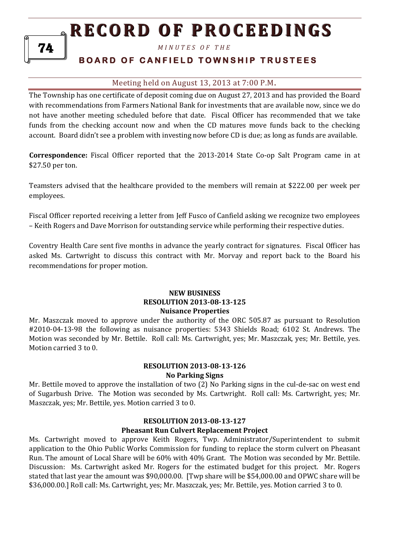*M I N U T E S O F T H E* 

### **BOARD OF CANFIELD TOWNSHIP TRUSTEES**

#### Meeting held on August 13, 2013 at 7:00 P.M**.**

The Township has one certificate of deposit coming due on August 27, 2013 and has provided the Board with recommendations from Farmers National Bank for investments that are available now, since we do not have another meeting scheduled before that date. Fiscal Officer has recommended that we take funds from the checking account now and when the CD matures move funds back to the checking account. Board didn't see a problem with investing now before CD is due; as long as funds are available.

**Correspondence:** Fiscal Officer reported that the 2013-2014 State Co-op Salt Program came in at \$27.50 per ton.

Teamsters advised that the healthcare provided to the members will remain at \$222.00 per week per employees.

Fiscal Officer reported receiving a letter from Jeff Fusco of Canfield asking we recognize two employees – Keith Rogers and Dave Morrison for outstanding service while performing their respective duties.

Coventry Health Care sent five months in advance the yearly contract for signatures. Fiscal Officer has asked Ms. Cartwright to discuss this contract with Mr. Morvay and report back to the Board his recommendations for proper motion.

#### **NEW BUSINESS RESOLUTION 2013-08-13-125 Nuisance Properties**

Mr. Maszczak moved to approve under the authority of the ORC 505.87 as pursuant to Resolution #2010-04-13-98 the following as nuisance properties: 5343 Shields Road; 6102 St. Andrews. The Motion was seconded by Mr. Bettile. Roll call: Ms. Cartwright, yes; Mr. Maszczak, yes; Mr. Bettile, yes. Motion carried 3 to 0.

#### **RESOLUTION 2013-08-13-126 No Parking Signs**

Mr. Bettile moved to approve the installation of two (2) No Parking signs in the cul-de-sac on west end of Sugarbush Drive. The Motion was seconded by Ms. Cartwright. Roll call: Ms. Cartwright, yes; Mr. Maszczak, yes; Mr. Bettile, yes. Motion carried 3 to 0.

#### **RESOLUTION 2013-08-13-127 Pheasant Run Culvert Replacement Project**

Ms. Cartwright moved to approve Keith Rogers, Twp. Administrator/Superintendent to submit application to the Ohio Public Works Commission for funding to replace the storm culvert on Pheasant Run. The amount of Local Share will be 60% with 40% Grant. The Motion was seconded by Mr. Bettile. Discussion: Ms. Cartwright asked Mr. Rogers for the estimated budget for this project. Mr. Rogers stated that last year the amount was \$90,000.00. [Twp share will be \$54,000.00 and OPWC share will be \$36,000.00.] Roll call: Ms. Cartwright, yes; Mr. Maszczak, yes; Mr. Bettile, yes. Motion carried 3 to 0.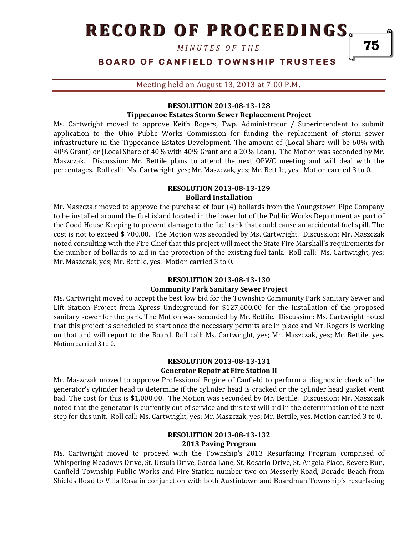*M I N U T E S O F T H E* 

### **BOARD OF CANFIELD TOWNSHIP TRUSTEES**

Meeting held on August 13, 2013 at 7:00 P.M**.**

#### **RESOLUTION 2013-08-13-128**

#### **Tippecanoe Estates Storm Sewer Replacement Project**

Ms. Cartwright moved to approve Keith Rogers, Twp. Administrator / Superintendent to submit application to the Ohio Public Works Commission for funding the replacement of storm sewer infrastructure in the Tippecanoe Estates Development. The amount of (Local Share will be 60% with 40% Grant) or (Local Share of 40% with 40% Grant and a 20% Loan). The Motion was seconded by Mr. Maszczak. Discussion: Mr. Bettile plans to attend the next OPWC meeting and will deal with the percentages. Roll call: Ms. Cartwright, yes; Mr. Maszczak, yes; Mr. Bettile, yes. Motion carried 3 to 0.

#### **RESOLUTION 2013-08-13-129 Bollard Installation**

Mr. Maszczak moved to approve the purchase of four (4) bollards from the Youngstown Pipe Company to be installed around the fuel island located in the lower lot of the Public Works Department as part of the Good House Keeping to prevent damage to the fuel tank that could cause an accidental fuel spill. The cost is not to exceed \$ 700.00. The Motion was seconded by Ms. Cartwright. Discussion: Mr. Maszczak noted consulting with the Fire Chief that this project will meet the State Fire Marshall's requirements for the number of bollards to aid in the protection of the existing fuel tank. Roll call: Ms. Cartwright, yes; Mr. Maszczak, yes; Mr. Bettile, yes. Motion carried 3 to 0.

#### **RESOLUTION 2013-08-13-130 Community Park Sanitary Sewer Project**

Ms. Cartwright moved to accept the best low bid for the Township Community Park Sanitary Sewer and Lift Station Project from Xpress Underground for \$127,600.00 for the installation of the proposed sanitary sewer for the park. The Motion was seconded by Mr. Bettile. Discussion: Ms. Cartwright noted that this project is scheduled to start once the necessary permits are in place and Mr. Rogers is working on that and will report to the Board. Roll call: Ms. Cartwright, yes; Mr. Maszczak, yes; Mr. Bettile, yes. Motion carried 3 to 0.

#### **RESOLUTION 2013-08-13-131 Generator Repair at Fire Station II**

Mr. Maszczak moved to approve Professional Engine of Canfield to perform a diagnostic check of the generator's cylinder head to determine if the cylinder head is cracked or the cylinder head gasket went bad. The cost for this is \$1,000.00. The Motion was seconded by Mr. Bettile. Discussion: Mr. Maszczak noted that the generator is currently out of service and this test will aid in the determination of the next step for this unit. Roll call: Ms. Cartwright, yes; Mr. Maszczak, yes; Mr. Bettile, yes. Motion carried 3 to 0.

#### **RESOLUTION 2013-08-13-132 2013 Paving Program**

Ms. Cartwright moved to proceed with the Township's 2013 Resurfacing Program comprised of Whispering Meadows Drive, St. Ursula Drive, Garda Lane, St. Rosario Drive, St. Angela Place, Revere Run, Canfield Township Public Works and Fire Station number two on Messerly Road, Dorado Beach from Shields Road to Villa Rosa in conjunction with both Austintown and Boardman Township's resurfacing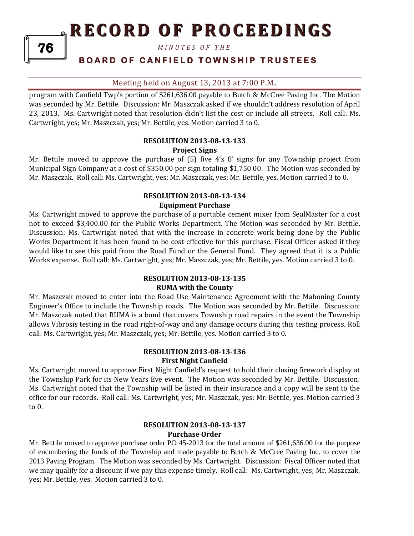*M I N U T E S O F T H E* 

### **BOARD OF CANFIELD TOWNSHIP TRUSTEES**

#### Meeting held on August 13, 2013 at 7:00 P.M**.**

program with Canfield Twp's portion of \$261,636.00 payable to Butch & McCree Paving Inc. The Motion was seconded by Mr. Bettile. Discussion: Mr. Maszczak asked if we shouldn't address resolution of April 23, 2013. Ms. Cartwright noted that resolution didn't list the cost or include all streets. Roll call: Ms. Cartwright, yes; Mr. Maszczak, yes; Mr. Bettile, yes. Motion carried 3 to 0.

#### **RESOLUTION 2013-08-13-133 Project Signs**

Mr. Bettile moved to approve the purchase of (5) five 4'x 8' signs for any Township project from Municipal Sign Company at a cost of \$350.00 per sign totaling \$1,750.00. The Motion was seconded by Mr. Maszczak. Roll call: Ms. Cartwright, yes; Mr. Maszczak, yes; Mr. Bettile, yes. Motion carried 3 to 0.

#### **RESOLUTION 2013-08-13-134 Equipment Purchase**

Ms. Cartwright moved to approve the purchase of a portable cement mixer from SealMaster for a cost not to exceed \$3,400.00 for the Public Works Department. The Motion was seconded by Mr. Bettile. Discussion: Ms. Cartwright noted that with the increase in concrete work being done by the Public Works Department it has been found to be cost effective for this purchase. Fiscal Officer asked if they would like to see this paid from the Road Fund or the General Fund. They agreed that it is a Public Works expense. Roll call: Ms. Cartwright, yes; Mr. Maszczak, yes; Mr. Bettile, yes. Motion carried 3 to 0.

#### **RESOLUTION 2013-08-13-135 RUMA with the County**

Mr. Maszczak moved to enter into the Road Use Maintenance Agreement with the Mahoning County Engineer's Office to include the Township roads. The Motion was seconded by Mr. Bettile. Discussion: Mr. Maszczak noted that RUMA is a bond that covers Township road repairs in the event the Township allows Vibrosis testing in the road right-of-way and any damage occurs during this testing process. Roll call: Ms. Cartwright, yes; Mr. Maszczak, yes; Mr. Bettile, yes. Motion carried 3 to 0.

#### **RESOLUTION 2013-08-13-136 First Night Canfield**

Ms. Cartwright moved to approve First Night Canfield's request to hold their closing firework display at the Township Park for its New Years Eve event. The Motion was seconded by Mr. Bettile. Discussion: Ms. Cartwright noted that the Township will be listed in their insurance and a copy will be sent to the office for our records. Roll call: Ms. Cartwright, yes; Mr. Maszczak, yes; Mr. Bettile, yes. Motion carried 3 to 0.

#### **RESOLUTION 2013-08-13-137 Purchase Order**

Mr. Bettile moved to approve purchase order PO 45-2013 for the total amount of \$261,636.00 for the purpose of encumbering the funds of the Township and made payable to Butch & McCree Paving Inc. to cover the 2013 Paving Program. The Motion was seconded by Ms. Cartwright. Discussion: Fiscal Officer noted that we may qualify for a discount if we pay this expense timely. Roll call: Ms. Cartwright, yes; Mr. Maszczak, yes; Mr. Bettile, yes. Motion carried 3 to 0.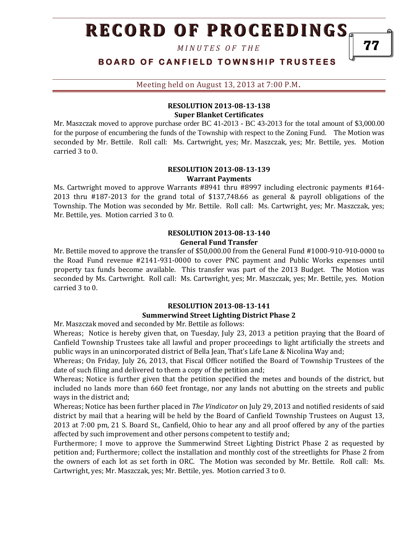*M I N U T E S O F T H E* 

**BOARD OF CANFIELD TOWNSHIP TRUSTEES** 

Meeting held on August 13, 2013 at 7:00 P.M**.**

#### **RESOLUTION 2013-08-13-138 Super Blanket Certificates**

Mr. Maszczak moved to approve purchase order BC 41-2013 - BC 43-2013 for the total amount of \$3,000.00 for the purpose of encumbering the funds of the Township with respect to the Zoning Fund. The Motion was seconded by Mr. Bettile. Roll call: Ms. Cartwright, yes; Mr. Maszczak, yes; Mr. Bettile, yes. Motion carried 3 to 0.

#### **RESOLUTION 2013-08-13-139 Warrant Payments**

Ms. Cartwright moved to approve Warrants #8941 thru #8997 including electronic payments #164- 2013 thru #187-2013 for the grand total of \$137,748.66 as general & payroll obligations of the Township. The Motion was seconded by Mr. Bettile. Roll call: Ms. Cartwright, yes; Mr. Maszczak, yes; Mr. Bettile, yes. Motion carried 3 to 0.

#### **RESOLUTION 2013-08-13-140 General Fund Transfer**

Mr. Bettile moved to approve the transfer of \$50,000.00 from the General Fund #1000-910-910-0000 to the Road Fund revenue #2141-931-0000 to cover PNC payment and Public Works expenses until property tax funds become available. This transfer was part of the 2013 Budget. The Motion was seconded by Ms. Cartwright. Roll call: Ms. Cartwright, yes; Mr. Maszczak, yes; Mr. Bettile, yes. Motion carried 3 to 0.

#### **RESOLUTION 2013-08-13-141 Summerwind Street Lighting District Phase 2**

Mr. Maszczak moved and seconded by Mr. Bettile as follows:

Whereas; Notice is hereby given that, on Tuesday, July 23, 2013 a petition praying that the Board of Canfield Township Trustees take all lawful and proper proceedings to light artificially the streets and public ways in an unincorporated district of Bella Jean, That's Life Lane & Nicolina Way and;

Whereas; On Friday, July 26, 2013, that Fiscal Officer notified the Board of Township Trustees of the date of such filing and delivered to them a copy of the petition and;

Whereas; Notice is further given that the petition specified the metes and bounds of the district, but included no lands more than 660 feet frontage, nor any lands not abutting on the streets and public ways in the district and;

Whereas; Notice has been further placed in *The Vindicator* on July 29, 2013 and notified residents of said district by mail that a hearing will be held by the Board of Canfield Township Trustees on August 13, 2013 at 7:00 pm, 21 S. Board St., Canfield, Ohio to hear any and all proof offered by any of the parties affected by such improvement and other persons competent to testify and;

Furthermore; I move to approve the Summerwind Street Lighting District Phase 2 as requested by petition and; Furthermore; collect the installation and monthly cost of the streetlights for Phase 2 from the owners of each lot as set forth in ORC. The Motion was seconded by Mr. Bettile. Roll call: Ms. Cartwright, yes; Mr. Maszczak, yes; Mr. Bettile, yes. Motion carried 3 to 0.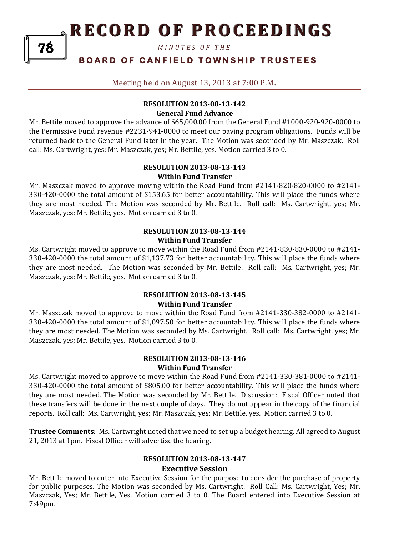*M I N U T E S O F T H E* 

### **BOARD OF CANFIELD TOWNSHIP TRUSTEES**

Meeting held on August 13, 2013 at 7:00 P.M**.**

#### **RESOLUTION 2013-08-13-142 General Fund Advance**

Mr. Bettile moved to approve the advance of \$65,000.00 from the General Fund #1000-920-920-0000 to the Permissive Fund revenue #2231-941-0000 to meet our paving program obligations. Funds will be returned back to the General Fund later in the year. The Motion was seconded by Mr. Maszczak. Roll call: Ms. Cartwright, yes; Mr. Maszczak, yes; Mr. Bettile, yes. Motion carried 3 to 0.

#### **RESOLUTION 2013-08-13-143 Within Fund Transfer**

Mr. Maszczak moved to approve moving within the Road Fund from #2141-820-820-0000 to #2141- 330-420-0000 the total amount of \$153.65 for better accountability. This will place the funds where they are most needed. The Motion was seconded by Mr. Bettile. Roll call: Ms. Cartwright, yes; Mr. Maszczak, yes; Mr. Bettile, yes. Motion carried 3 to 0.

#### **RESOLUTION 2013-08-13-144 Within Fund Transfer**

Ms. Cartwright moved to approve to move within the Road Fund from #2141-830-830-0000 to #2141- 330-420-0000 the total amount of \$1,137.73 for better accountability. This will place the funds where they are most needed. The Motion was seconded by Mr. Bettile. Roll call: Ms. Cartwright, yes; Mr. Maszczak, yes; Mr. Bettile, yes. Motion carried 3 to 0.

#### **RESOLUTION 2013-08-13-145 Within Fund Transfer**

Mr. Maszczak moved to approve to move within the Road Fund from #2141-330-382-0000 to #2141- 330-420-0000 the total amount of \$1,097.50 for better accountability. This will place the funds where they are most needed. The Motion was seconded by Ms. Cartwright. Roll call: Ms. Cartwright, yes; Mr. Maszczak, yes; Mr. Bettile, yes. Motion carried 3 to 0.

#### **RESOLUTION 2013-08-13-146 Within Fund Transfer**

Ms. Cartwright moved to approve to move within the Road Fund from #2141-330-381-0000 to #2141- 330-420-0000 the total amount of \$805.00 for better accountability. This will place the funds where they are most needed. The Motion was seconded by Mr. Bettile. Discussion: Fiscal Officer noted that these transfers will be done in the next couple of days. They do not appear in the copy of the financial reports. Roll call: Ms. Cartwright, yes; Mr. Maszczak, yes; Mr. Bettile, yes. Motion carried 3 to 0.

**Trustee Comments**: Ms. Cartwright noted that we need to set up a budget hearing. All agreed to August 21, 2013 at 1pm. Fiscal Officer will advertise the hearing.

## **RESOLUTION 2013-08-13-147**

**Executive Session**

Mr. Bettile moved to enter into Executive Session for the purpose to consider the purchase of property for public purposes. The Motion was seconded by Ms. Cartwright. Roll Call: Ms. Cartwright, Yes; Mr. Maszczak, Yes; Mr. Bettile, Yes. Motion carried 3 to 0. The Board entered into Executive Session at 7:49pm.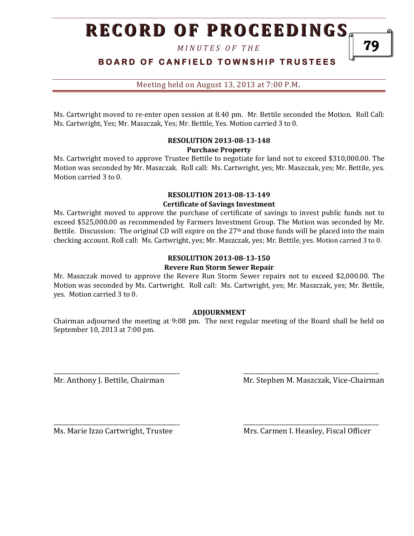*M I N U T E S O F T H E* 

**BOARD OF CANFIELD TOWNSHIP TRUSTEES** 

Meeting held on August 13, 2013 at 7:00 P.M**.**

Ms. Cartwright moved to re-enter open session at 8.40 pm. Mr. Bettile seconded the Motion. Roll Call: Ms. Cartwright, Yes; Mr. Maszczak, Yes; Mr. Bettile, Yes. Motion carried 3 to 0.

#### **RESOLUTION 2013-08-13-148 Purchase Property**

Ms. Cartwright moved to approve Trustee Bettile to negotiate for land not to exceed \$310,000.00. The Motion was seconded by Mr. Maszczak. Roll call: Ms. Cartwright, yes; Mr. Maszczak, yes; Mr. Bettile, yes. Motion carried 3 to 0.

#### **RESOLUTION 2013-08-13-149 Certificate of Savings Investment**

Ms. Cartwright moved to approve the purchase of certificate of savings to invest public funds not to exceed \$525,000.00 as recommended by Farmers Investment Group. The Motion was seconded by Mr. Bettile. Discussion: The original CD will expire on the 27<sup>th</sup> and those funds will be placed into the main checking account. Roll call: Ms. Cartwright, yes; Mr. Maszczak, yes; Mr. Bettile, yes. Motion carried 3 to 0.

#### **RESOLUTION 2013-08-13-150 Revere Run Storm Sewer Repair**

Mr. Maszczak moved to approve the Revere Run Storm Sewer repairs not to exceed \$2,000.00. The Motion was seconded by Ms. Cartwright. Roll call: Ms. Cartwright, yes; Mr. Maszczak, yes; Mr. Bettile, yes. Motion carried 3 to 0.

#### **ADJOURNMENT**

Chairman adjourned the meeting at 9:08 pm. The next regular meeting of the Board shall be held on September 10, 2013 at 7:00 pm.

\_\_\_\_\_\_\_\_\_\_\_\_\_\_\_\_\_\_\_\_\_\_\_\_\_\_\_\_\_\_\_\_\_\_\_\_\_\_\_\_\_\_ \_\_\_\_\_\_\_\_\_\_\_\_\_\_\_\_\_\_\_\_\_\_\_\_\_\_\_\_\_\_\_\_\_\_\_\_\_\_\_\_\_\_\_\_\_

\_\_\_\_\_\_\_\_\_\_\_\_\_\_\_\_\_\_\_\_\_\_\_\_\_\_\_\_\_\_\_\_\_\_\_\_\_\_\_\_\_\_ \_\_\_\_\_\_\_\_\_\_\_\_\_\_\_\_\_\_\_\_\_\_\_\_\_\_\_\_\_\_\_\_\_\_\_\_\_\_\_\_\_\_\_\_\_

Mr. Anthony J. Bettile, Chairman Mr. Stephen M. Maszczak, Vice-Chairman

Ms. Marie Izzo Cartwright, Trustee Mrs. Carmen I. Heasley, Fiscal Officer